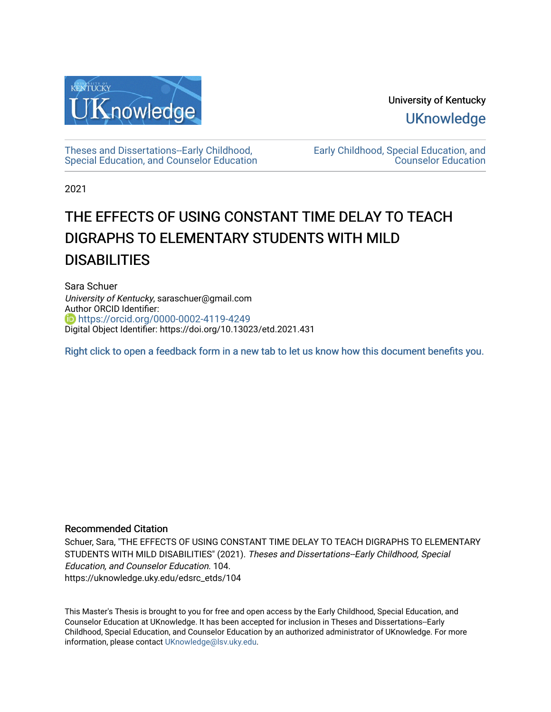

University of Kentucky **UKnowledge** 

[Theses and Dissertations--Early Childhood,](https://uknowledge.uky.edu/edsrc_etds)  [Special Education, and Counselor Education](https://uknowledge.uky.edu/edsrc_etds) [Early Childhood, Special Education, and](https://uknowledge.uky.edu/edsrc)  [Counselor Education](https://uknowledge.uky.edu/edsrc) 

2021

# THE EFFECTS OF USING CONSTANT TIME DELAY TO TEACH DIGRAPHS TO ELEMENTARY STUDENTS WITH MILD **DISABILITIES**

Sara Schuer University of Kentucky, saraschuer@gmail.com Author ORCID Identifier: **https://orcid.org/0000-0002-4119-4249** Digital Object Identifier: https://doi.org/10.13023/etd.2021.431

[Right click to open a feedback form in a new tab to let us know how this document benefits you.](https://uky.az1.qualtrics.com/jfe/form/SV_9mq8fx2GnONRfz7)

## Recommended Citation

Schuer, Sara, "THE EFFECTS OF USING CONSTANT TIME DELAY TO TEACH DIGRAPHS TO ELEMENTARY STUDENTS WITH MILD DISABILITIES" (2021). Theses and Dissertations--Early Childhood, Special Education, and Counselor Education. 104. https://uknowledge.uky.edu/edsrc\_etds/104

This Master's Thesis is brought to you for free and open access by the Early Childhood, Special Education, and Counselor Education at UKnowledge. It has been accepted for inclusion in Theses and Dissertations--Early Childhood, Special Education, and Counselor Education by an authorized administrator of UKnowledge. For more information, please contact [UKnowledge@lsv.uky.edu](mailto:UKnowledge@lsv.uky.edu).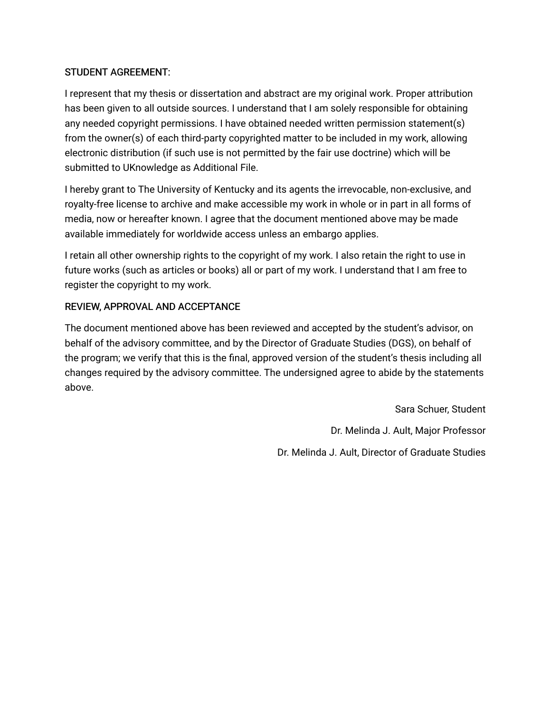## STUDENT AGREEMENT:

I represent that my thesis or dissertation and abstract are my original work. Proper attribution has been given to all outside sources. I understand that I am solely responsible for obtaining any needed copyright permissions. I have obtained needed written permission statement(s) from the owner(s) of each third-party copyrighted matter to be included in my work, allowing electronic distribution (if such use is not permitted by the fair use doctrine) which will be submitted to UKnowledge as Additional File.

I hereby grant to The University of Kentucky and its agents the irrevocable, non-exclusive, and royalty-free license to archive and make accessible my work in whole or in part in all forms of media, now or hereafter known. I agree that the document mentioned above may be made available immediately for worldwide access unless an embargo applies.

I retain all other ownership rights to the copyright of my work. I also retain the right to use in future works (such as articles or books) all or part of my work. I understand that I am free to register the copyright to my work.

## REVIEW, APPROVAL AND ACCEPTANCE

The document mentioned above has been reviewed and accepted by the student's advisor, on behalf of the advisory committee, and by the Director of Graduate Studies (DGS), on behalf of the program; we verify that this is the final, approved version of the student's thesis including all changes required by the advisory committee. The undersigned agree to abide by the statements above.

> Sara Schuer, Student Dr. Melinda J. Ault, Major Professor Dr. Melinda J. Ault, Director of Graduate Studies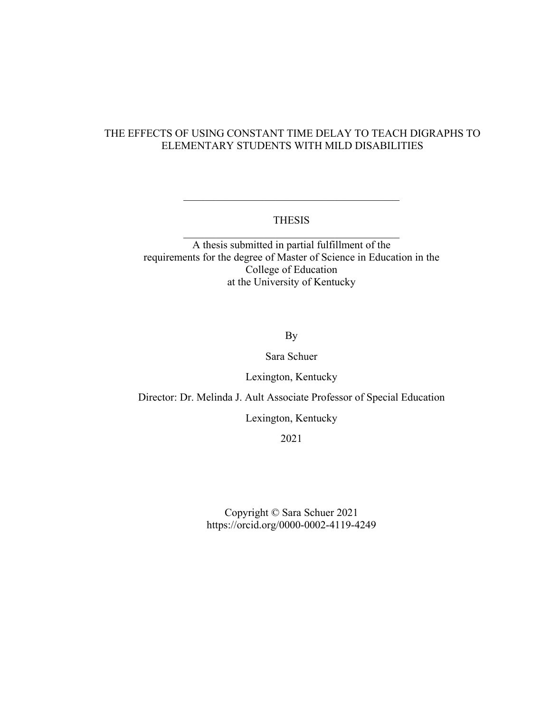## THE EFFECTS OF USING CONSTANT TIME DELAY TO TEACH DIGRAPHS TO ELEMENTARY STUDENTS WITH MILD DISABILITIES

## THESIS \_\_\_\_\_\_\_\_\_\_\_\_\_\_\_\_\_\_\_\_\_\_\_\_\_\_\_\_\_\_\_\_\_\_\_\_\_\_\_\_

 $\overline{\mathcal{L}}$  , and the state of the state of the state of the state of the state of the state of the state of the state of the state of the state of the state of the state of the state of the state of the state of the stat

A thesis submitted in partial fulfillment of the requirements for the degree of Master of Science in Education in the College of Education at the University of Kentucky

By

Sara Schuer

Lexington, Kentucky

Director: Dr. Melinda J. Ault Associate Professor of Special Education

Lexington, Kentucky

2021

Copyright © Sara Schuer 2021 https://orcid.org/0000-0002-4119-4249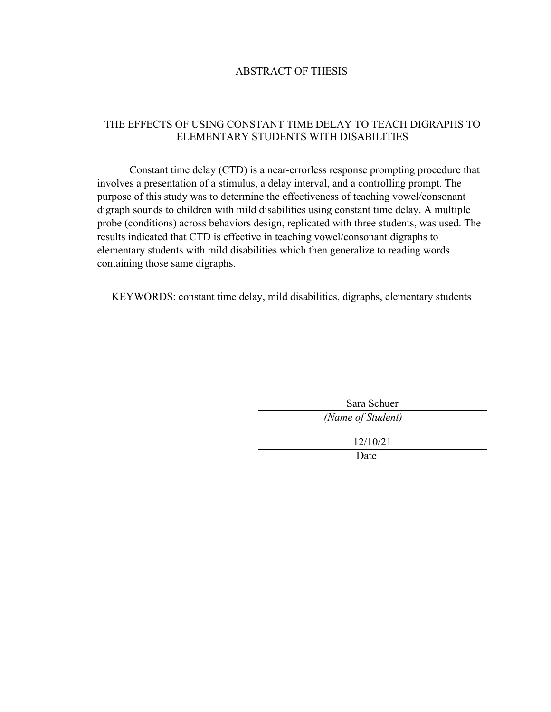## ABSTRACT OF THESIS

## THE EFFECTS OF USING CONSTANT TIME DELAY TO TEACH DIGRAPHS TO ELEMENTARY STUDENTS WITH DISABILITIES

Constant time delay (CTD) is a near-errorless response prompting procedure that involves a presentation of a stimulus, a delay interval, and a controlling prompt. The purpose of this study was to determine the effectiveness of teaching vowel/consonant digraph sounds to children with mild disabilities using constant time delay. A multiple probe (conditions) across behaviors design, replicated with three students, was used. The results indicated that CTD is effective in teaching vowel/consonant digraphs to elementary students with mild disabilities which then generalize to reading words containing those same digraphs.

KEYWORDS: constant time delay, mild disabilities, digraphs, elementary students

| Sara Schuer       |  |  |  |  |
|-------------------|--|--|--|--|
| (Name of Student) |  |  |  |  |
| 12/10/21          |  |  |  |  |
| Date              |  |  |  |  |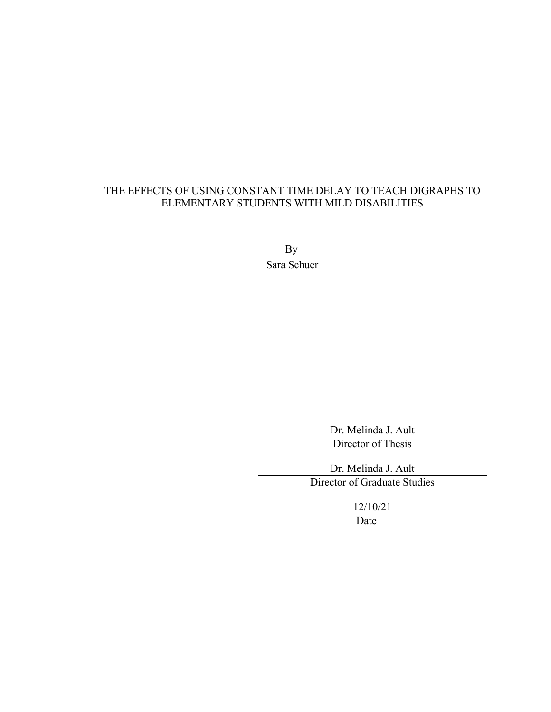## THE EFFECTS OF USING CONSTANT TIME DELAY TO TEACH DIGRAPHS TO ELEMENTARY STUDENTS WITH MILD DISABILITIES

By Sara Schuer

> Dr. Melinda J. Ault Director of Thesis

Dr. Melinda J. Ault Director of Graduate Studies

12/10/21

Date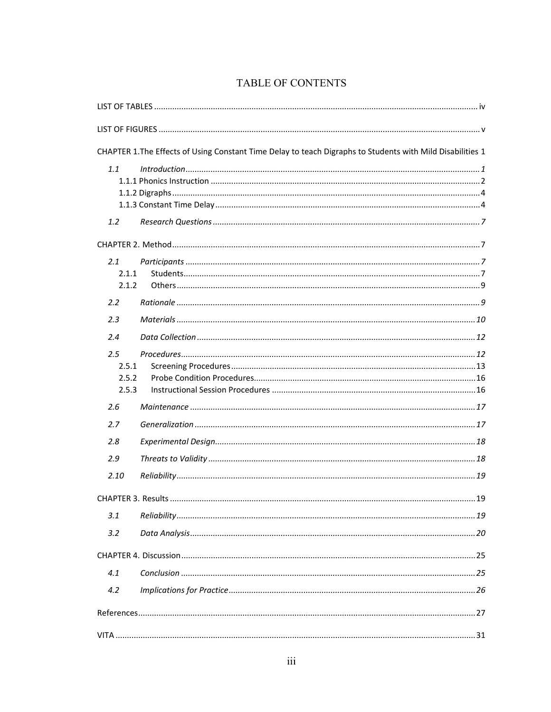|                                | CHAPTER 1. The Effects of Using Constant Time Delay to teach Digraphs to Students with Mild Disabilities 1 |
|--------------------------------|------------------------------------------------------------------------------------------------------------|
| 1.1                            | Introduction 11                                                                                            |
| 1.2                            |                                                                                                            |
|                                |                                                                                                            |
| 2.1<br>2.1.1<br>2.1.2          |                                                                                                            |
| 2.2<br>2.3                     |                                                                                                            |
| 2.4                            |                                                                                                            |
| 2.5<br>2.5.1<br>2.5.2<br>2.5.3 |                                                                                                            |
| 2.6                            |                                                                                                            |
| 2.7                            |                                                                                                            |
| 2.8                            |                                                                                                            |
| 2.9<br>2.10                    |                                                                                                            |
|                                |                                                                                                            |
| 3.1                            |                                                                                                            |
| 3.2                            |                                                                                                            |
|                                |                                                                                                            |
| 4.1                            |                                                                                                            |
| 4.2                            |                                                                                                            |
|                                |                                                                                                            |
|                                |                                                                                                            |

# TABLE OF CONTENTS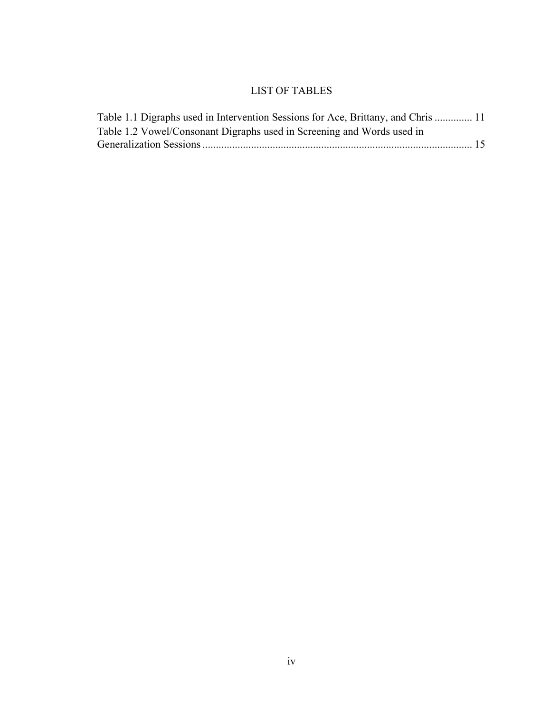## LIST OF TABLES

<span id="page-6-0"></span>

| Table 1.1 Digraphs used in Intervention Sessions for Ace, Brittany, and Chris  11 |  |
|-----------------------------------------------------------------------------------|--|
| Table 1.2 Vowel/Consonant Digraphs used in Screening and Words used in            |  |
|                                                                                   |  |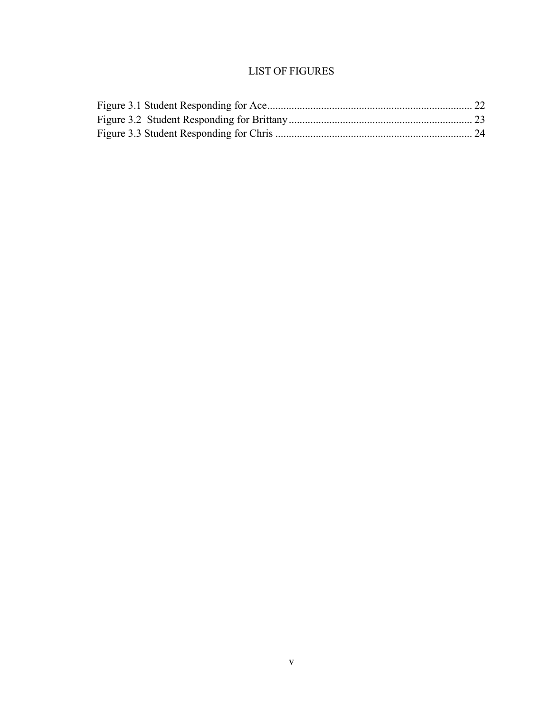# LIST OF FIGURES

<span id="page-7-0"></span>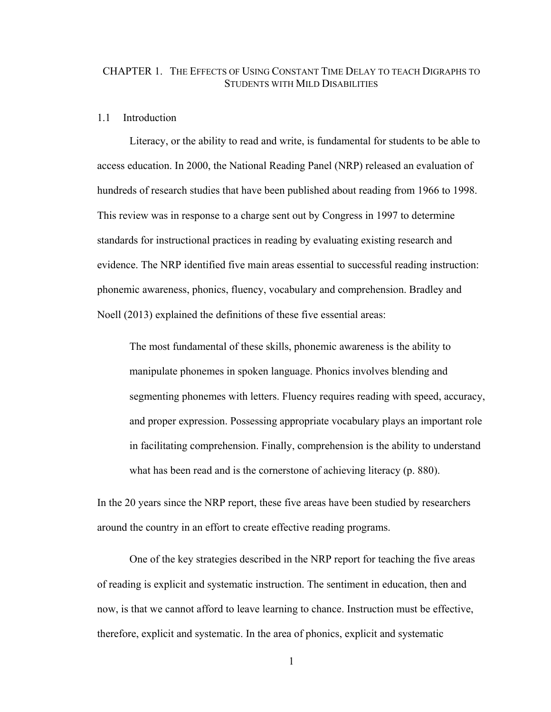## <span id="page-8-0"></span>CHAPTER 1. THE EFFECTS OF USING CONSTANT TIME DELAY TO TEACH DIGRAPHS TO STUDENTS WITH MILD DISABILITIES

#### <span id="page-8-1"></span>1.1 Introduction

Literacy, or the ability to read and write, is fundamental for students to be able to access education. In 2000, the National Reading Panel (NRP) released an evaluation of hundreds of research studies that have been published about reading from 1966 to 1998. This review was in response to a charge sent out by Congress in 1997 to determine standards for instructional practices in reading by evaluating existing research and evidence. The NRP identified five main areas essential to successful reading instruction: phonemic awareness, phonics, fluency, vocabulary and comprehension. Bradley and Noell (2013) explained the definitions of these five essential areas:

The most fundamental of these skills, phonemic awareness is the ability to manipulate phonemes in spoken language. Phonics involves blending and segmenting phonemes with letters. Fluency requires reading with speed, accuracy, and proper expression. Possessing appropriate vocabulary plays an important role in facilitating comprehension. Finally, comprehension is the ability to understand what has been read and is the cornerstone of achieving literacy (p. 880).

In the 20 years since the NRP report, these five areas have been studied by researchers around the country in an effort to create effective reading programs.

 One of the key strategies described in the NRP report for teaching the five areas of reading is explicit and systematic instruction. The sentiment in education, then and now, is that we cannot afford to leave learning to chance. Instruction must be effective, therefore, explicit and systematic. In the area of phonics, explicit and systematic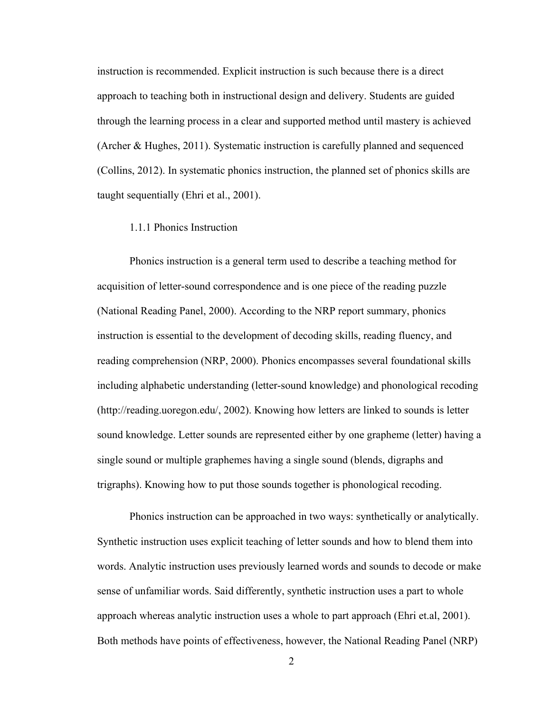instruction is recommended. Explicit instruction is such because there is a direct approach to teaching both in instructional design and delivery. Students are guided through the learning process in a clear and supported method until mastery is achieved (Archer & Hughes, 2011). Systematic instruction is carefully planned and sequenced (Collins, 2012). In systematic phonics instruction, the planned set of phonics skills are taught sequentially (Ehri et al., 2001).

### <span id="page-9-0"></span>1.1.1 Phonics Instruction

Phonics instruction is a general term used to describe a teaching method for acquisition of letter-sound correspondence and is one piece of the reading puzzle (National Reading Panel, 2000). According to the NRP report summary, phonics instruction is essential to the development of decoding skills, reading fluency, and reading comprehension (NRP, 2000). Phonics encompasses several foundational skills including alphabetic understanding (letter-sound knowledge) and phonological recoding (http://reading.uoregon.edu/, 2002). Knowing how letters are linked to sounds is letter sound knowledge. Letter sounds are represented either by one grapheme (letter) having a single sound or multiple graphemes having a single sound (blends, digraphs and trigraphs). Knowing how to put those sounds together is phonological recoding.

Phonics instruction can be approached in two ways: synthetically or analytically. Synthetic instruction uses explicit teaching of letter sounds and how to blend them into words. Analytic instruction uses previously learned words and sounds to decode or make sense of unfamiliar words. Said differently, synthetic instruction uses a part to whole approach whereas analytic instruction uses a whole to part approach (Ehri et.al, 2001). Both methods have points of effectiveness, however, the National Reading Panel (NRP)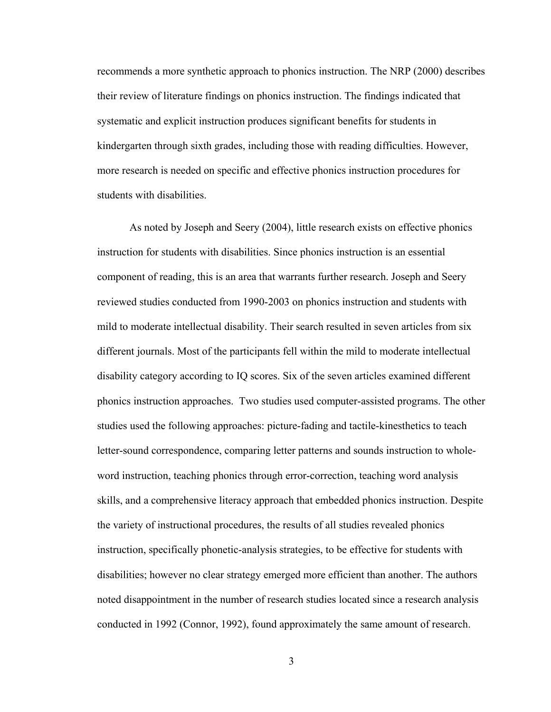recommends a more synthetic approach to phonics instruction. The NRP (2000) describes their review of literature findings on phonics instruction. The findings indicated that systematic and explicit instruction produces significant benefits for students in kindergarten through sixth grades, including those with reading difficulties. However, more research is needed on specific and effective phonics instruction procedures for students with disabilities.

As noted by Joseph and Seery (2004), little research exists on effective phonics instruction for students with disabilities. Since phonics instruction is an essential component of reading, this is an area that warrants further research. Joseph and Seery reviewed studies conducted from 1990-2003 on phonics instruction and students with mild to moderate intellectual disability. Their search resulted in seven articles from six different journals. Most of the participants fell within the mild to moderate intellectual disability category according to IQ scores. Six of the seven articles examined different phonics instruction approaches. Two studies used computer-assisted programs. The other studies used the following approaches: picture-fading and tactile-kinesthetics to teach letter-sound correspondence, comparing letter patterns and sounds instruction to wholeword instruction, teaching phonics through error-correction, teaching word analysis skills, and a comprehensive literacy approach that embedded phonics instruction. Despite the variety of instructional procedures, the results of all studies revealed phonics instruction, specifically phonetic-analysis strategies, to be effective for students with disabilities; however no clear strategy emerged more efficient than another. The authors noted disappointment in the number of research studies located since a research analysis conducted in 1992 (Connor, 1992), found approximately the same amount of research.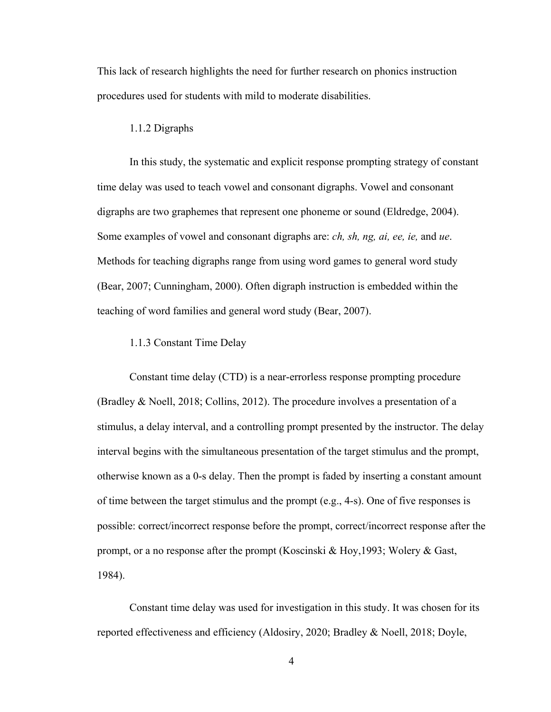This lack of research highlights the need for further research on phonics instruction procedures used for students with mild to moderate disabilities.

#### <span id="page-11-0"></span>1.1.2 Digraphs

In this study, the systematic and explicit response prompting strategy of constant time delay was used to teach vowel and consonant digraphs. Vowel and consonant digraphs are two graphemes that represent one phoneme or sound (Eldredge, 2004). Some examples of vowel and consonant digraphs are: *ch, sh, ng, ai, ee, ie,* and *ue*. Methods for teaching digraphs range from using word games to general word study (Bear, 2007; Cunningham, 2000). Often digraph instruction is embedded within the teaching of word families and general word study (Bear, 2007).

#### <span id="page-11-1"></span>1.1.3 Constant Time Delay

Constant time delay (CTD) is a near-errorless response prompting procedure (Bradley & Noell, 2018; Collins, 2012). The procedure involves a presentation of a stimulus, a delay interval, and a controlling prompt presented by the instructor. The delay interval begins with the simultaneous presentation of the target stimulus and the prompt, otherwise known as a 0-s delay. Then the prompt is faded by inserting a constant amount of time between the target stimulus and the prompt (e.g., 4-s). One of five responses is possible: correct/incorrect response before the prompt, correct/incorrect response after the prompt, or a no response after the prompt (Koscinski & Hoy,1993; Wolery & Gast, 1984).

 Constant time delay was used for investigation in this study. It was chosen for its reported effectiveness and efficiency (Aldosiry, 2020; Bradley & Noell, 2018; Doyle,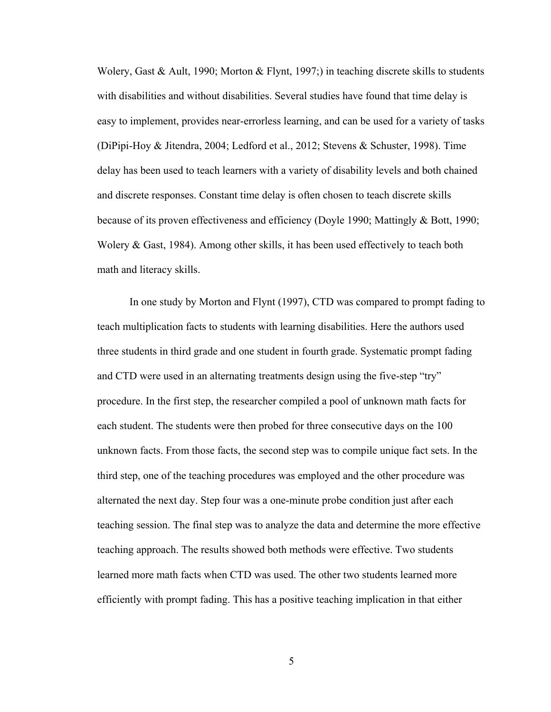Wolery, Gast & Ault, 1990; Morton & Flynt, 1997;) in teaching discrete skills to students with disabilities and without disabilities. Several studies have found that time delay is easy to implement, provides near-errorless learning, and can be used for a variety of tasks (DiPipi-Hoy & Jitendra, 2004; Ledford et al., 2012; Stevens & Schuster, 1998). Time delay has been used to teach learners with a variety of disability levels and both chained and discrete responses. Constant time delay is often chosen to teach discrete skills because of its proven effectiveness and efficiency (Doyle 1990; Mattingly & Bott, 1990; Wolery & Gast, 1984). Among other skills, it has been used effectively to teach both math and literacy skills.

In one study by Morton and Flynt (1997), CTD was compared to prompt fading to teach multiplication facts to students with learning disabilities. Here the authors used three students in third grade and one student in fourth grade. Systematic prompt fading and CTD were used in an alternating treatments design using the five-step "try" procedure. In the first step, the researcher compiled a pool of unknown math facts for each student. The students were then probed for three consecutive days on the 100 unknown facts. From those facts, the second step was to compile unique fact sets. In the third step, one of the teaching procedures was employed and the other procedure was alternated the next day. Step four was a one-minute probe condition just after each teaching session. The final step was to analyze the data and determine the more effective teaching approach. The results showed both methods were effective. Two students learned more math facts when CTD was used. The other two students learned more efficiently with prompt fading. This has a positive teaching implication in that either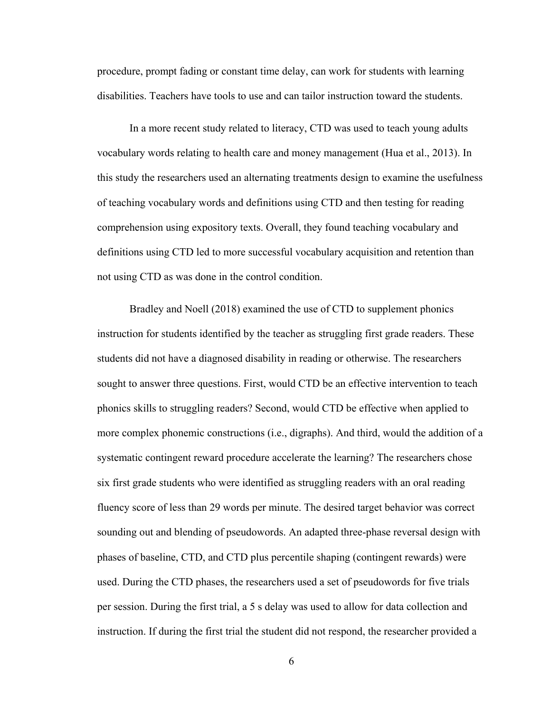procedure, prompt fading or constant time delay, can work for students with learning disabilities. Teachers have tools to use and can tailor instruction toward the students.

In a more recent study related to literacy, CTD was used to teach young adults vocabulary words relating to health care and money management (Hua et al., 2013). In this study the researchers used an alternating treatments design to examine the usefulness of teaching vocabulary words and definitions using CTD and then testing for reading comprehension using expository texts. Overall, they found teaching vocabulary and definitions using CTD led to more successful vocabulary acquisition and retention than not using CTD as was done in the control condition.

 Bradley and Noell (2018) examined the use of CTD to supplement phonics instruction for students identified by the teacher as struggling first grade readers. These students did not have a diagnosed disability in reading or otherwise. The researchers sought to answer three questions. First, would CTD be an effective intervention to teach phonics skills to struggling readers? Second, would CTD be effective when applied to more complex phonemic constructions (i.e., digraphs). And third, would the addition of a systematic contingent reward procedure accelerate the learning? The researchers chose six first grade students who were identified as struggling readers with an oral reading fluency score of less than 29 words per minute. The desired target behavior was correct sounding out and blending of pseudowords. An adapted three-phase reversal design with phases of baseline, CTD, and CTD plus percentile shaping (contingent rewards) were used. During the CTD phases, the researchers used a set of pseudowords for five trials per session. During the first trial, a 5 s delay was used to allow for data collection and instruction. If during the first trial the student did not respond, the researcher provided a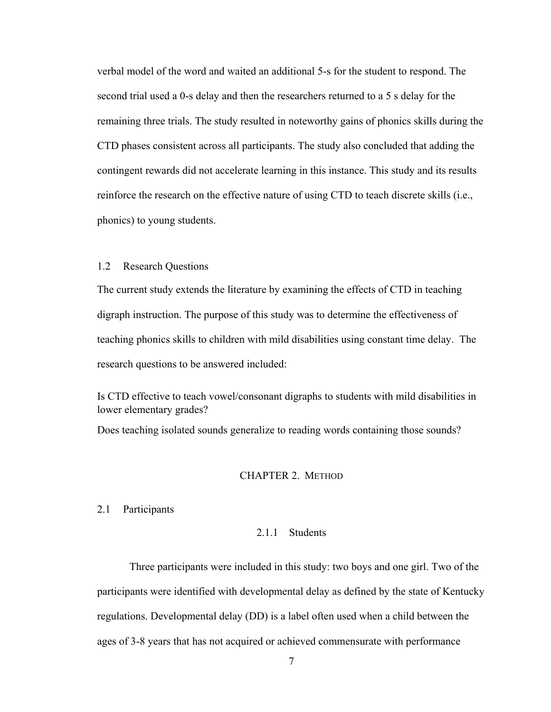verbal model of the word and waited an additional 5-s for the student to respond. The second trial used a 0-s delay and then the researchers returned to a 5 s delay for the remaining three trials. The study resulted in noteworthy gains of phonics skills during the CTD phases consistent across all participants. The study also concluded that adding the contingent rewards did not accelerate learning in this instance. This study and its results reinforce the research on the effective nature of using CTD to teach discrete skills (i.e., phonics) to young students.

## <span id="page-14-0"></span>1.2 Research Questions

The current study extends the literature by examining the effects of CTD in teaching digraph instruction. The purpose of this study was to determine the effectiveness of teaching phonics skills to children with mild disabilities using constant time delay. The research questions to be answered included:

Is CTD effective to teach vowel/consonant digraphs to students with mild disabilities in lower elementary grades?

Does teaching isolated sounds generalize to reading words containing those sounds?

#### CHAPTER 2. METHOD

## <span id="page-14-3"></span><span id="page-14-2"></span><span id="page-14-1"></span>2.1 Participants

#### 2.1.1 Students

Three participants were included in this study: two boys and one girl. Two of the participants were identified with developmental delay as defined by the state of Kentucky regulations. Developmental delay (DD) is a label often used when a child between the ages of 3-8 years that has not acquired or achieved commensurate with performance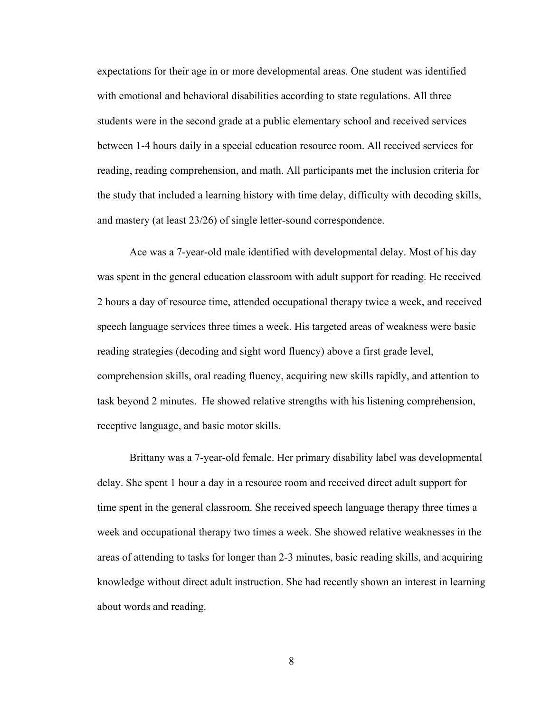expectations for their age in or more developmental areas. One student was identified with emotional and behavioral disabilities according to state regulations. All three students were in the second grade at a public elementary school and received services between 1-4 hours daily in a special education resource room. All received services for reading, reading comprehension, and math. All participants met the inclusion criteria for the study that included a learning history with time delay, difficulty with decoding skills, and mastery (at least 23/26) of single letter-sound correspondence.

 Ace was a 7-year-old male identified with developmental delay. Most of his day was spent in the general education classroom with adult support for reading. He received 2 hours a day of resource time, attended occupational therapy twice a week, and received speech language services three times a week. His targeted areas of weakness were basic reading strategies (decoding and sight word fluency) above a first grade level, comprehension skills, oral reading fluency, acquiring new skills rapidly, and attention to task beyond 2 minutes. He showed relative strengths with his listening comprehension, receptive language, and basic motor skills.

 Brittany was a 7-year-old female. Her primary disability label was developmental delay. She spent 1 hour a day in a resource room and received direct adult support for time spent in the general classroom. She received speech language therapy three times a week and occupational therapy two times a week. She showed relative weaknesses in the areas of attending to tasks for longer than 2-3 minutes, basic reading skills, and acquiring knowledge without direct adult instruction. She had recently shown an interest in learning about words and reading.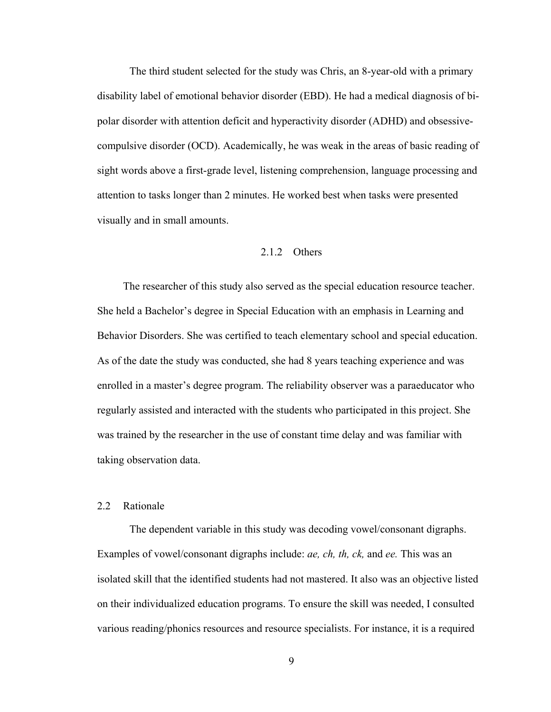The third student selected for the study was Chris, an 8-year-old with a primary disability label of emotional behavior disorder (EBD). He had a medical diagnosis of bipolar disorder with attention deficit and hyperactivity disorder (ADHD) and obsessivecompulsive disorder (OCD). Academically, he was weak in the areas of basic reading of sight words above a first-grade level, listening comprehension, language processing and attention to tasks longer than 2 minutes. He worked best when tasks were presented visually and in small amounts.

## 2.1.2 Others

<span id="page-16-0"></span>The researcher of this study also served as the special education resource teacher. She held a Bachelor's degree in Special Education with an emphasis in Learning and Behavior Disorders. She was certified to teach elementary school and special education. As of the date the study was conducted, she had 8 years teaching experience and was enrolled in a master's degree program. The reliability observer was a paraeducator who regularly assisted and interacted with the students who participated in this project. She was trained by the researcher in the use of constant time delay and was familiar with taking observation data.

## <span id="page-16-1"></span>2.2 Rationale

 The dependent variable in this study was decoding vowel/consonant digraphs. Examples of vowel/consonant digraphs include: *ae, ch, th, ck,* and *ee.* This was an isolated skill that the identified students had not mastered. It also was an objective listed on their individualized education programs. To ensure the skill was needed, I consulted various reading/phonics resources and resource specialists. For instance, it is a required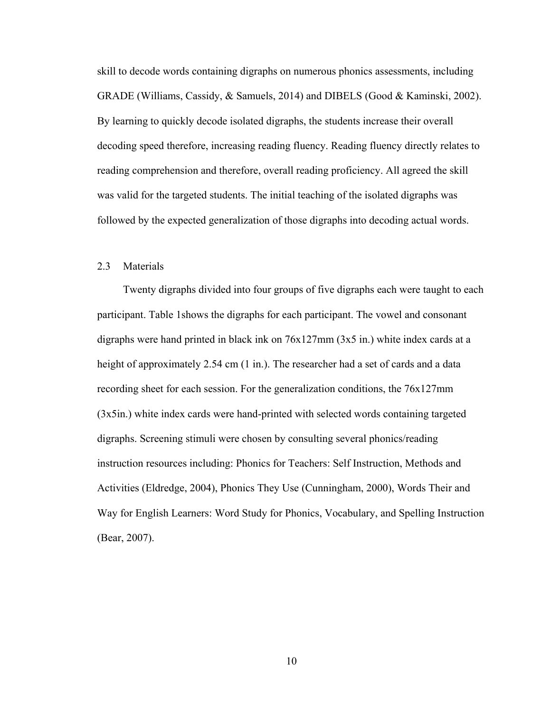skill to decode words containing digraphs on numerous phonics assessments, including GRADE (Williams, Cassidy, & Samuels, 2014) and DIBELS (Good & Kaminski, 2002). By learning to quickly decode isolated digraphs, the students increase their overall decoding speed therefore, increasing reading fluency. Reading fluency directly relates to reading comprehension and therefore, overall reading proficiency. All agreed the skill was valid for the targeted students. The initial teaching of the isolated digraphs was followed by the expected generalization of those digraphs into decoding actual words.

## <span id="page-17-0"></span>2.3 Materials

Twenty digraphs divided into four groups of five digraphs each were taught to each participant. Table 1shows the digraphs for each participant. The vowel and consonant digraphs were hand printed in black ink on 76x127mm (3x5 in.) white index cards at a height of approximately 2.54 cm (1 in.). The researcher had a set of cards and a data recording sheet for each session. For the generalization conditions, the 76x127mm (3x5in.) white index cards were hand-printed with selected words containing targeted digraphs. Screening stimuli were chosen by consulting several phonics/reading instruction resources including: Phonics for Teachers: Self Instruction, Methods and Activities (Eldredge, 2004), Phonics They Use (Cunningham, 2000), Words Their and Way for English Learners: Word Study for Phonics, Vocabulary, and Spelling Instruction (Bear, 2007).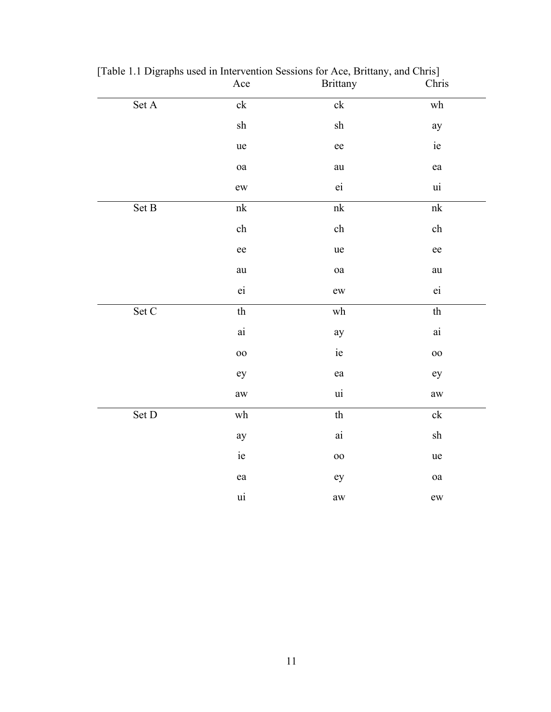|                               | Ace                                    | <b>Brittany</b>                                     | Chris                                               |
|-------------------------------|----------------------------------------|-----------------------------------------------------|-----------------------------------------------------|
| $\operatorname{Set}$ A        | $c\overline{k}$                        | $\overline{\text{ck}}$                              | $\overline{\text{wh}}$                              |
|                               | ${\rm sh}$                             | ${\rm sh}$                                          | ay                                                  |
|                               | ue                                     | ee                                                  | $\rm ie$                                            |
|                               | $\mathbf{oa}$                          | au                                                  | ea                                                  |
|                               | ew                                     | ei                                                  | ui                                                  |
| Set B                         | $\ensuremath{\text{n}}\xspace\text{k}$ | $\ensuremath{\text{n}}\xspace\ensuremath{\text{k}}$ | $\ensuremath{\text{n}}\xspace\ensuremath{\text{k}}$ |
|                               | ${\rm ch}$                             | ${\rm ch}$                                          | ${\rm ch}$                                          |
|                               | ee                                     | ue                                                  | $\rm ee$                                            |
|                               | au                                     | oa                                                  | au                                                  |
|                               | ei                                     | ${\rm ew}$                                          | $\dot{e}$                                           |
| $\operatorname{Set}$ $\cal C$ | $^{\mbox{th}}$                         | $\operatorname{wh}$                                 | th                                                  |
|                               | $\rm {ai}$                             | ay                                                  | $\rm {ai}$                                          |
|                               | $00\,$                                 | ie                                                  | $00\,$                                              |
|                               | ey                                     | ea                                                  | ey                                                  |
|                               | $\rm aw$                               | ui                                                  | $\mathop{\rm aw}\nolimits$                          |
| Set D                         | $\operatorname{wh}$                    | $\ensuremath{\text{th}}$                            | $\ensuremath{\text{c}}\xspace k$                    |
|                               | ay                                     | $\rm {ai}$                                          | sh                                                  |
|                               | ie                                     | 00                                                  | ue                                                  |
|                               | ea                                     | ey                                                  | $\mathbf{oa}$                                       |
|                               | ui                                     | $\operatorname{aw}$                                 | ${\rm ew}$                                          |

<span id="page-18-0"></span>[Table 1.1 Digraphs used in Intervention Sessions for Ace, Brittany, and Chris]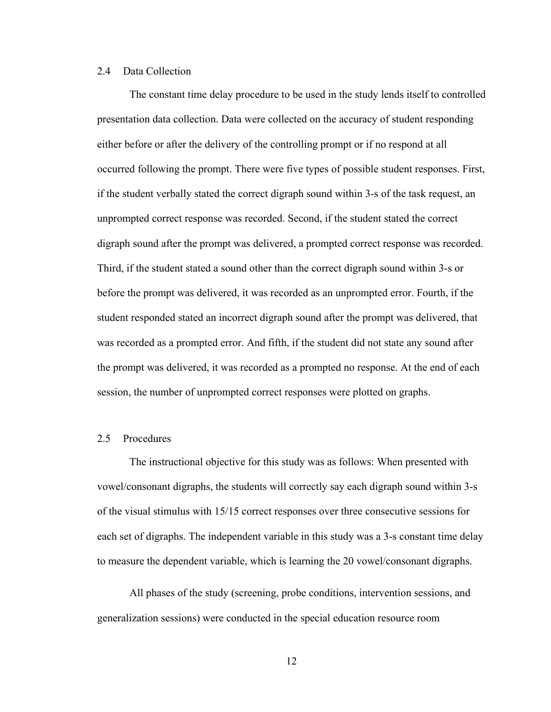### <span id="page-19-0"></span>2.4 Data Collection

 The constant time delay procedure to be used in the study lends itself to controlled presentation data collection. Data were collected on the accuracy of student responding either before or after the delivery of the controlling prompt or if no respond at all occurred following the prompt. There were five types of possible student responses. First, if the student verbally stated the correct digraph sound within 3-s of the task request, an unprompted correct response was recorded. Second, if the student stated the correct digraph sound after the prompt was delivered, a prompted correct response was recorded. Third, if the student stated a sound other than the correct digraph sound within 3-s or before the prompt was delivered, it was recorded as an unprompted error. Fourth, if the student responded stated an incorrect digraph sound after the prompt was delivered, that was recorded as a prompted error. And fifth, if the student did not state any sound after the prompt was delivered, it was recorded as a prompted no response. At the end of each session, the number of unprompted correct responses were plotted on graphs.

#### <span id="page-19-1"></span>2.5 Procedures

The instructional objective for this study was as follows: When presented with vowel/consonant digraphs, the students will correctly say each digraph sound within 3-s of the visual stimulus with 15/15 correct responses over three consecutive sessions for each set of digraphs. The independent variable in this study was a 3-s constant time delay to measure the dependent variable, which is learning the 20 vowel/consonant digraphs.

All phases of the study (screening, probe conditions, intervention sessions, and generalization sessions) were conducted in the special education resource room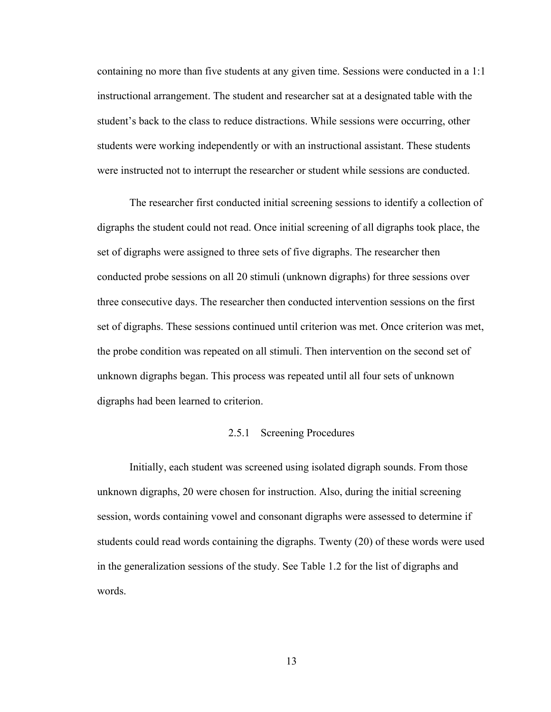containing no more than five students at any given time. Sessions were conducted in a 1:1 instructional arrangement. The student and researcher sat at a designated table with the student's back to the class to reduce distractions. While sessions were occurring, other students were working independently or with an instructional assistant. These students were instructed not to interrupt the researcher or student while sessions are conducted.

The researcher first conducted initial screening sessions to identify a collection of digraphs the student could not read. Once initial screening of all digraphs took place, the set of digraphs were assigned to three sets of five digraphs. The researcher then conducted probe sessions on all 20 stimuli (unknown digraphs) for three sessions over three consecutive days. The researcher then conducted intervention sessions on the first set of digraphs. These sessions continued until criterion was met. Once criterion was met, the probe condition was repeated on all stimuli. Then intervention on the second set of unknown digraphs began. This process was repeated until all four sets of unknown digraphs had been learned to criterion.

## 2.5.1 Screening Procedures

<span id="page-20-0"></span> Initially, each student was screened using isolated digraph sounds. From those unknown digraphs, 20 were chosen for instruction. Also, during the initial screening session, words containing vowel and consonant digraphs were assessed to determine if students could read words containing the digraphs. Twenty (20) of these words were used in the generalization sessions of the study. See Table 1.2 for the list of digraphs and words.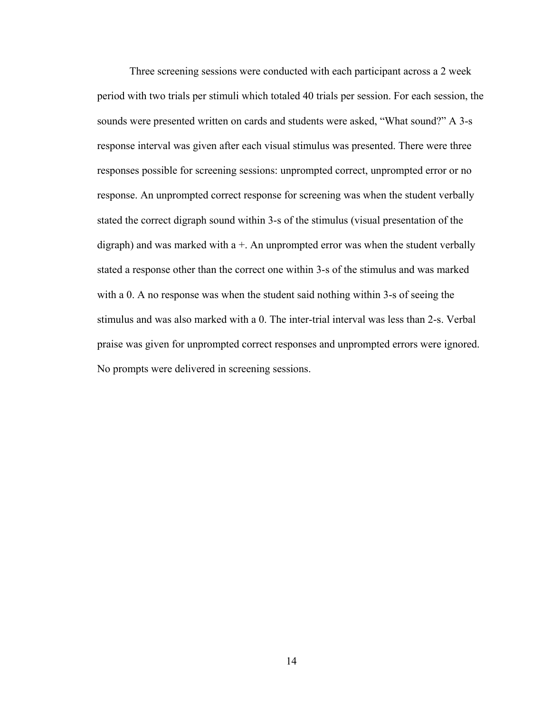Three screening sessions were conducted with each participant across a 2 week period with two trials per stimuli which totaled 40 trials per session. For each session, the sounds were presented written on cards and students were asked, "What sound?" A 3-s response interval was given after each visual stimulus was presented. There were three responses possible for screening sessions: unprompted correct, unprompted error or no response. An unprompted correct response for screening was when the student verbally stated the correct digraph sound within 3-s of the stimulus (visual presentation of the digraph) and was marked with  $a +$ . An unprompted error was when the student verbally stated a response other than the correct one within 3-s of the stimulus and was marked with a 0. A no response was when the student said nothing within 3-s of seeing the stimulus and was also marked with a 0. The inter-trial interval was less than 2-s. Verbal praise was given for unprompted correct responses and unprompted errors were ignored. No prompts were delivered in screening sessions.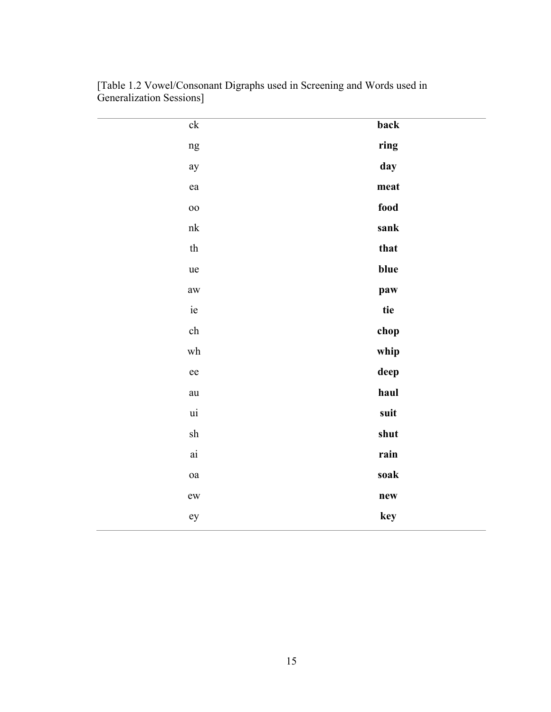| $\ensuremath{\text{c}}\xspace k$       | back |
|----------------------------------------|------|
| ng                                     | ring |
| ay                                     | day  |
| ${\rm e} {\rm a}$                      | meat |
| $_{\rm oo}$                            | food |
| $\ensuremath{\text{n}}\xspace\text{k}$ | sank |
| $\operatorname{th}$                    | that |
| ue                                     | blue |
| $\mathop{\rm aw}\nolimits$             | paw  |
| $\rm ie$                               | tie  |
| ${\rm ch}$                             | chop |
| $\operatorname{wh}$                    | whip |
| ee                                     | deep |
| au                                     | haul |
| $\,$ ui                                | suit |
| ${\rm sh}$                             | shut |
| $\rm {ai}$                             | rain |
| $\mathbf{oa}$                          | soak |
| ${\rm ew}$                             | new  |
| ey                                     | key  |
|                                        |      |

<span id="page-22-0"></span>[Table 1.2 Vowel/Consonant Digraphs used in Screening and Words used in Generalization Sessions]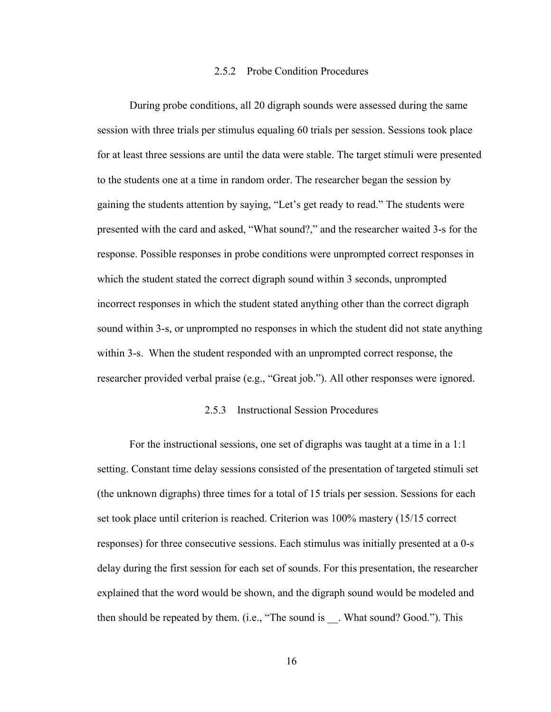#### 2.5.2 Probe Condition Procedures

<span id="page-23-0"></span>During probe conditions, all 20 digraph sounds were assessed during the same session with three trials per stimulus equaling 60 trials per session. Sessions took place for at least three sessions are until the data were stable. The target stimuli were presented to the students one at a time in random order. The researcher began the session by gaining the students attention by saying, "Let's get ready to read." The students were presented with the card and asked, "What sound?," and the researcher waited 3-s for the response. Possible responses in probe conditions were unprompted correct responses in which the student stated the correct digraph sound within 3 seconds, unprompted incorrect responses in which the student stated anything other than the correct digraph sound within 3-s, or unprompted no responses in which the student did not state anything within 3-s. When the student responded with an unprompted correct response, the researcher provided verbal praise (e.g., "Great job."). All other responses were ignored.

#### 2.5.3 Instructional Session Procedures

<span id="page-23-1"></span>For the instructional sessions, one set of digraphs was taught at a time in a 1:1 setting. Constant time delay sessions consisted of the presentation of targeted stimuli set (the unknown digraphs) three times for a total of 15 trials per session. Sessions for each set took place until criterion is reached. Criterion was 100% mastery (15/15 correct responses) for three consecutive sessions. Each stimulus was initially presented at a 0-s delay during the first session for each set of sounds. For this presentation, the researcher explained that the word would be shown, and the digraph sound would be modeled and then should be repeated by them. (i.e., "The sound is \_\_. What sound? Good."). This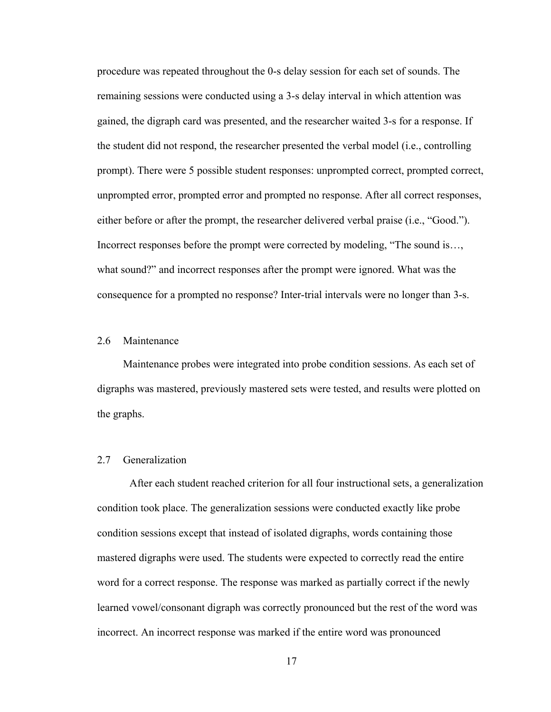procedure was repeated throughout the 0-s delay session for each set of sounds. The remaining sessions were conducted using a 3-s delay interval in which attention was gained, the digraph card was presented, and the researcher waited 3-s for a response. If the student did not respond, the researcher presented the verbal model (i.e., controlling prompt). There were 5 possible student responses: unprompted correct, prompted correct, unprompted error, prompted error and prompted no response. After all correct responses, either before or after the prompt, the researcher delivered verbal praise (i.e., "Good."). Incorrect responses before the prompt were corrected by modeling, "The sound is…, what sound?" and incorrect responses after the prompt were ignored. What was the consequence for a prompted no response? Inter-trial intervals were no longer than 3-s.

### <span id="page-24-0"></span>2.6 Maintenance

Maintenance probes were integrated into probe condition sessions. As each set of digraphs was mastered, previously mastered sets were tested, and results were plotted on the graphs.

## <span id="page-24-1"></span>2.7 Generalization

After each student reached criterion for all four instructional sets, a generalization condition took place. The generalization sessions were conducted exactly like probe condition sessions except that instead of isolated digraphs, words containing those mastered digraphs were used. The students were expected to correctly read the entire word for a correct response. The response was marked as partially correct if the newly learned vowel/consonant digraph was correctly pronounced but the rest of the word was incorrect. An incorrect response was marked if the entire word was pronounced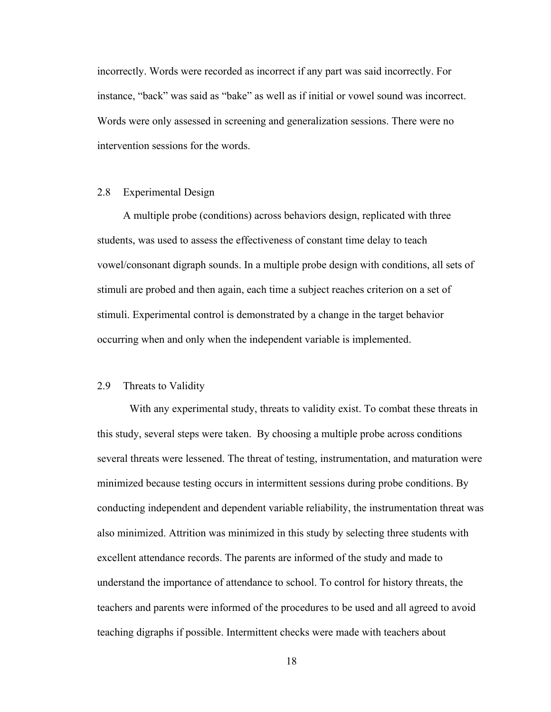incorrectly. Words were recorded as incorrect if any part was said incorrectly. For instance, "back" was said as "bake" as well as if initial or vowel sound was incorrect. Words were only assessed in screening and generalization sessions. There were no intervention sessions for the words.

## <span id="page-25-0"></span>2.8 Experimental Design

A multiple probe (conditions) across behaviors design, replicated with three students, was used to assess the effectiveness of constant time delay to teach vowel/consonant digraph sounds. In a multiple probe design with conditions, all sets of stimuli are probed and then again, each time a subject reaches criterion on a set of stimuli. Experimental control is demonstrated by a change in the target behavior occurring when and only when the independent variable is implemented.

#### <span id="page-25-1"></span>2.9 Threats to Validity

 With any experimental study, threats to validity exist. To combat these threats in this study, several steps were taken. By choosing a multiple probe across conditions several threats were lessened. The threat of testing, instrumentation, and maturation were minimized because testing occurs in intermittent sessions during probe conditions. By conducting independent and dependent variable reliability, the instrumentation threat was also minimized. Attrition was minimized in this study by selecting three students with excellent attendance records. The parents are informed of the study and made to understand the importance of attendance to school. To control for history threats, the teachers and parents were informed of the procedures to be used and all agreed to avoid teaching digraphs if possible. Intermittent checks were made with teachers about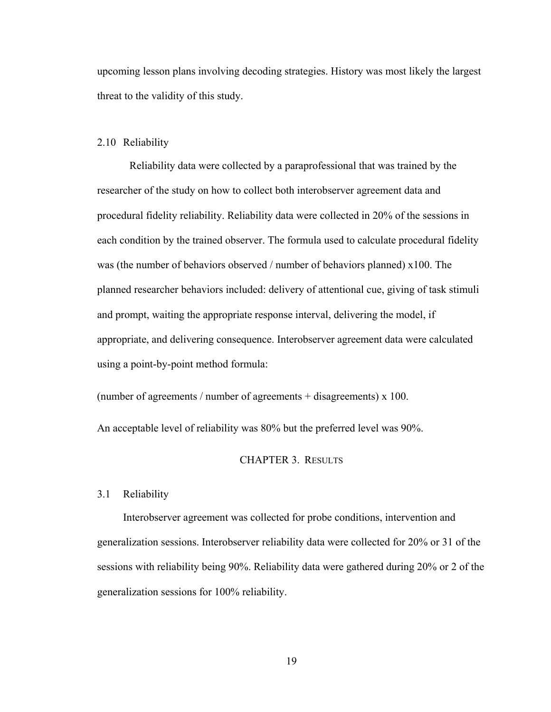upcoming lesson plans involving decoding strategies. History was most likely the largest threat to the validity of this study.

#### <span id="page-26-0"></span>2.10 Reliability

Reliability data were collected by a paraprofessional that was trained by the researcher of the study on how to collect both interobserver agreement data and procedural fidelity reliability. Reliability data were collected in 20% of the sessions in each condition by the trained observer. The formula used to calculate procedural fidelity was (the number of behaviors observed / number of behaviors planned) x100. The planned researcher behaviors included: delivery of attentional cue, giving of task stimuli and prompt, waiting the appropriate response interval, delivering the model, if appropriate, and delivering consequence. Interobserver agreement data were calculated using a point-by-point method formula:

(number of agreements / number of agreements + disagreements)  $x$  100.

<span id="page-26-1"></span>An acceptable level of reliability was 80% but the preferred level was 90%.

## CHAPTER 3. RESULTS

#### <span id="page-26-2"></span>3.1 Reliability

Interobserver agreement was collected for probe conditions, intervention and generalization sessions. Interobserver reliability data were collected for 20% or 31 of the sessions with reliability being 90%. Reliability data were gathered during 20% or 2 of the generalization sessions for 100% reliability.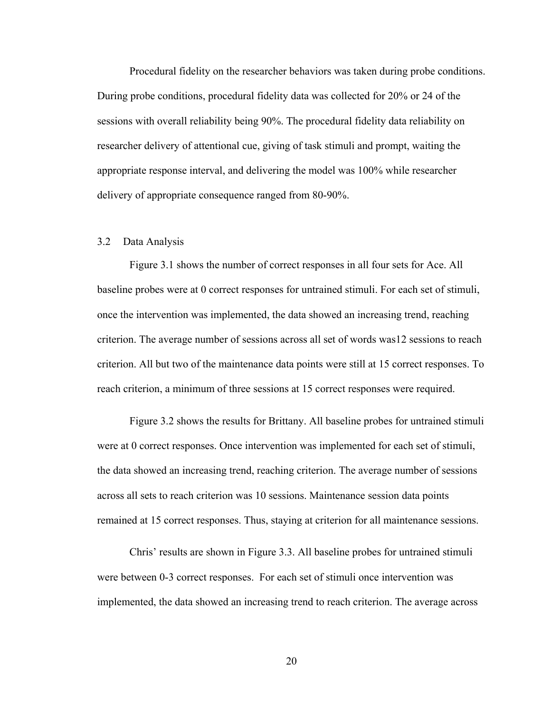Procedural fidelity on the researcher behaviors was taken during probe conditions. During probe conditions, procedural fidelity data was collected for 20% or 24 of the sessions with overall reliability being 90%. The procedural fidelity data reliability on researcher delivery of attentional cue, giving of task stimuli and prompt, waiting the appropriate response interval, and delivering the model was 100% while researcher delivery of appropriate consequence ranged from 80-90%.

## <span id="page-27-0"></span>3.2 Data Analysis

 Figure 3.1 shows the number of correct responses in all four sets for Ace. All baseline probes were at 0 correct responses for untrained stimuli. For each set of stimuli, once the intervention was implemented, the data showed an increasing trend, reaching criterion. The average number of sessions across all set of words was12 sessions to reach criterion. All but two of the maintenance data points were still at 15 correct responses. To reach criterion, a minimum of three sessions at 15 correct responses were required.

 Figure 3.2 shows the results for Brittany. All baseline probes for untrained stimuli were at 0 correct responses. Once intervention was implemented for each set of stimuli, the data showed an increasing trend, reaching criterion. The average number of sessions across all sets to reach criterion was 10 sessions. Maintenance session data points remained at 15 correct responses. Thus, staying at criterion for all maintenance sessions.

 Chris' results are shown in Figure 3.3. All baseline probes for untrained stimuli were between 0-3 correct responses. For each set of stimuli once intervention was implemented, the data showed an increasing trend to reach criterion. The average across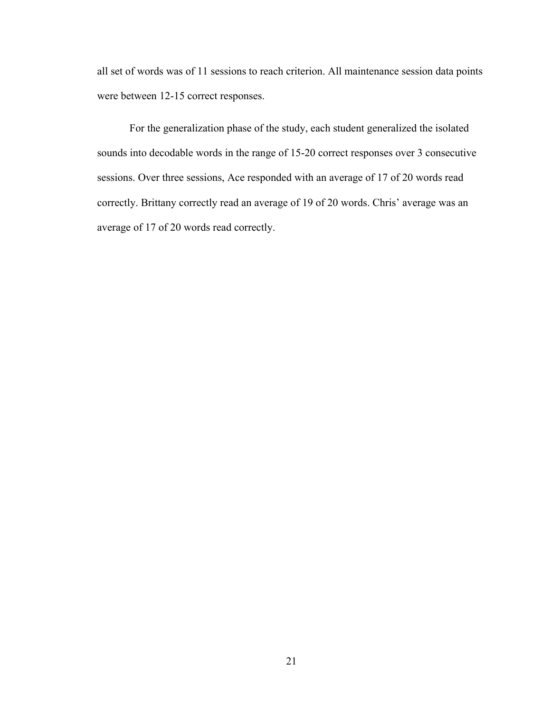all set of words was of 11 sessions to reach criterion. All maintenance session data points were between 12-15 correct responses.

 For the generalization phase of the study, each student generalized the isolated sounds into decodable words in the range of 15-20 correct responses over 3 consecutive sessions. Over three sessions, Ace responded with an average of 17 of 20 words read correctly. Brittany correctly read an average of 19 of 20 words. Chris' average was an average of 17 of 20 words read correctly.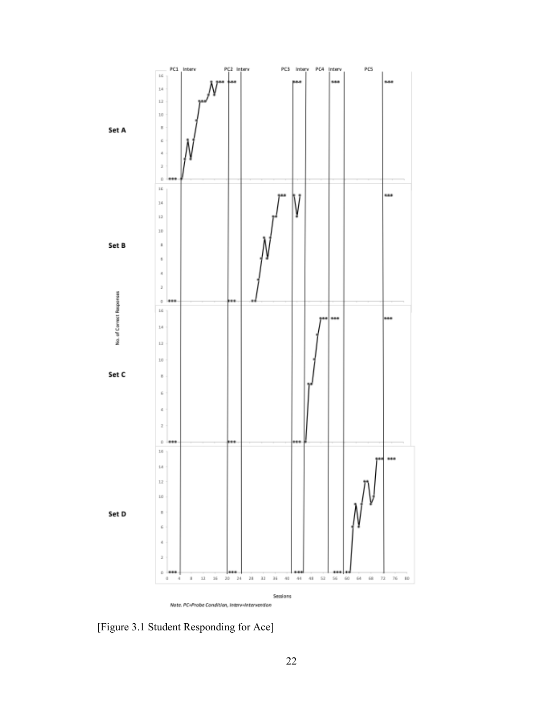

<span id="page-29-0"></span>[Figure 3.1 Student Responding for Ace]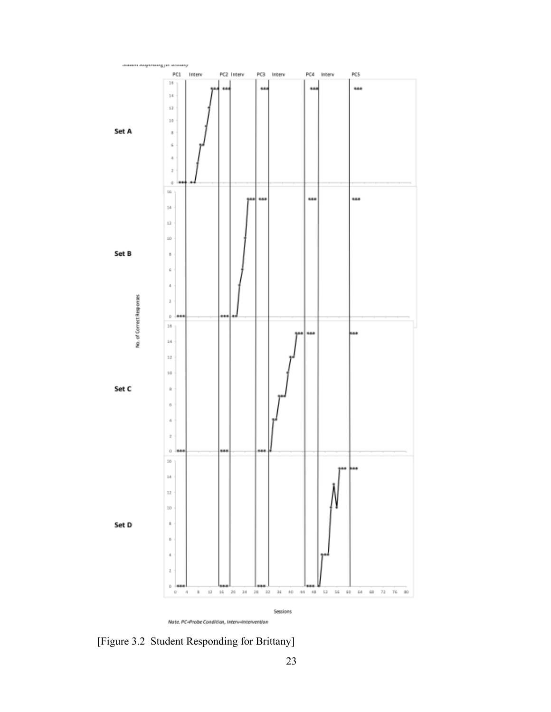

Note. PC=Probe Condition, Interv-Intervention

<span id="page-30-0"></span>[Figure 3.2 Student Responding for Brittany]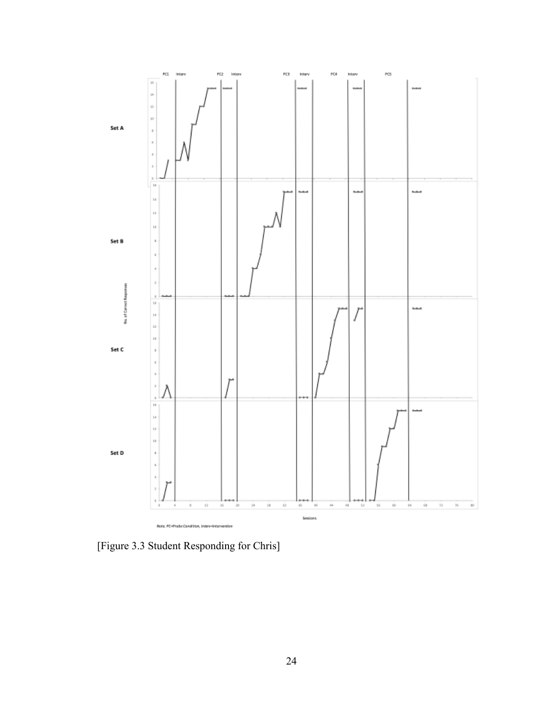

<span id="page-31-0"></span>[Figure 3.3 Student Responding for Chris]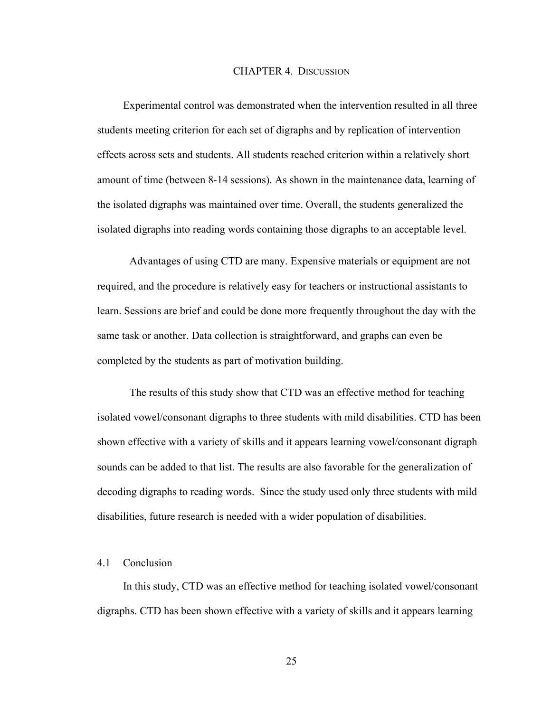#### CHAPTER 4. DISCUSSION

<span id="page-32-0"></span>Experimental control was demonstrated when the intervention resulted in all three students meeting criterion for each set of digraphs and by replication of intervention effects across sets and students. All students reached criterion within a relatively short amount of time (between 8-14 sessions). As shown in the maintenance data, learning of the isolated digraphs was maintained over time. Overall, the students generalized the isolated digraphs into reading words containing those digraphs to an acceptable level.

 Advantages of using CTD are many. Expensive materials or equipment are not required, and the procedure is relatively easy for teachers or instructional assistants to learn. Sessions are brief and could be done more frequently throughout the day with the same task or another. Data collection is straightforward, and graphs can even be completed by the students as part of motivation building.

 The results of this study show that CTD was an effective method for teaching isolated vowel/consonant digraphs to three students with mild disabilities. CTD has been shown effective with a variety of skills and it appears learning vowel/consonant digraph sounds can be added to that list. The results are also favorable for the generalization of decoding digraphs to reading words. Since the study used only three students with mild disabilities, future research is needed with a wider population of disabilities.

#### <span id="page-32-1"></span>4.1 Conclusion

In this study, CTD was an effective method for teaching isolated vowel/consonant digraphs. CTD has been shown effective with a variety of skills and it appears learning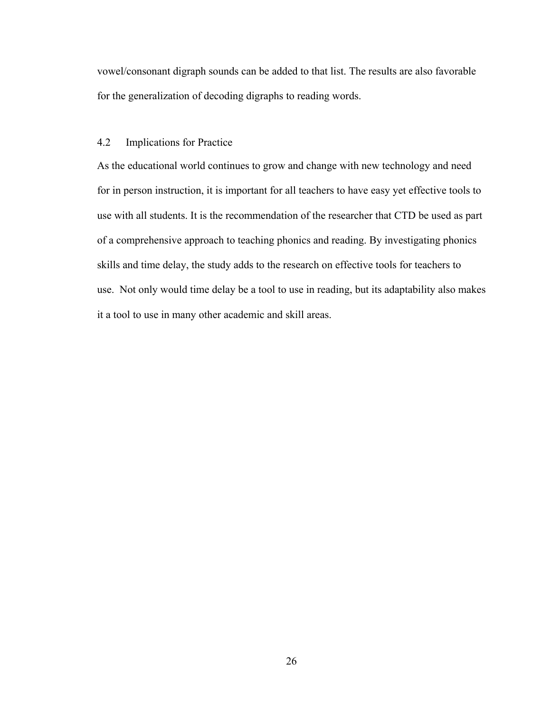vowel/consonant digraph sounds can be added to that list. The results are also favorable for the generalization of decoding digraphs to reading words.

## <span id="page-33-0"></span>4.2 Implications for Practice

As the educational world continues to grow and change with new technology and need for in person instruction, it is important for all teachers to have easy yet effective tools to use with all students. It is the recommendation of the researcher that CTD be used as part of a comprehensive approach to teaching phonics and reading. By investigating phonics skills and time delay, the study adds to the research on effective tools for teachers to use. Not only would time delay be a tool to use in reading, but its adaptability also makes it a tool to use in many other academic and skill areas.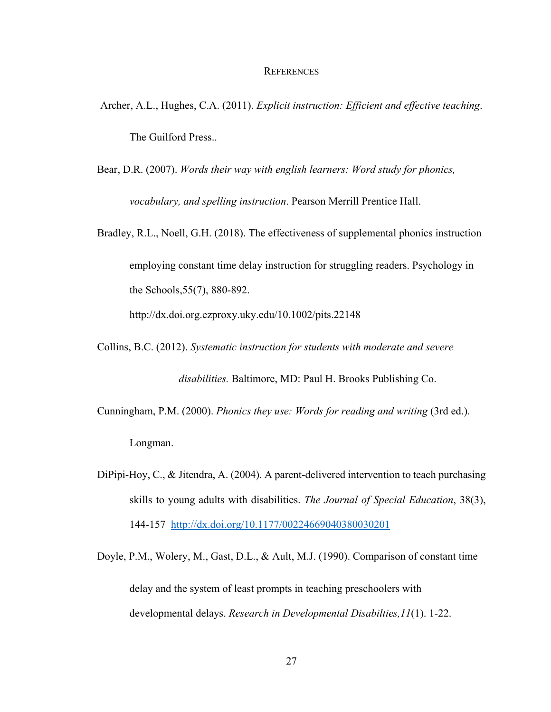#### **REFERENCES**

- <span id="page-34-0"></span>Archer, A.L., Hughes, C.A. (2011). *Explicit instruction: Efficient and effective teaching*. The Guilford Press..
- Bear, D.R. (2007). *Words their way with english learners: Word study for phonics, vocabulary, and spelling instruction*. Pearson Merrill Prentice Hall.
- Bradley, R.L., Noell, G.H. (2018). The effectiveness of supplemental phonics instruction employing constant time delay instruction for struggling readers. Psychology in the Schools,55(7), 880-892. http://dx.doi.org.ezproxy.uky.edu/10.1002/pits.22148

Collins, B.C. (2012). *Systematic instruction for students with moderate and severe* 

*disabilities.* Baltimore, MD: Paul H. Brooks Publishing Co.

- Cunningham, P.M. (2000). *Phonics they use: Words for reading and writing* (3rd ed.). Longman.
- DiPipi-Hoy, C., & Jitendra, A. (2004). A parent-delivered intervention to teach purchasing skills to young adults with disabilities. *The Journal of Special Education*, 38(3), 144-157 <http://dx.doi.org/10.1177/00224669040380030201>
- Doyle, P.M., Wolery, M., Gast, D.L., & Ault, M.J. (1990). Comparison of constant time delay and the system of least prompts in teaching preschoolers with developmental delays. *Research in Developmental Disabilties,11*(1). 1-22.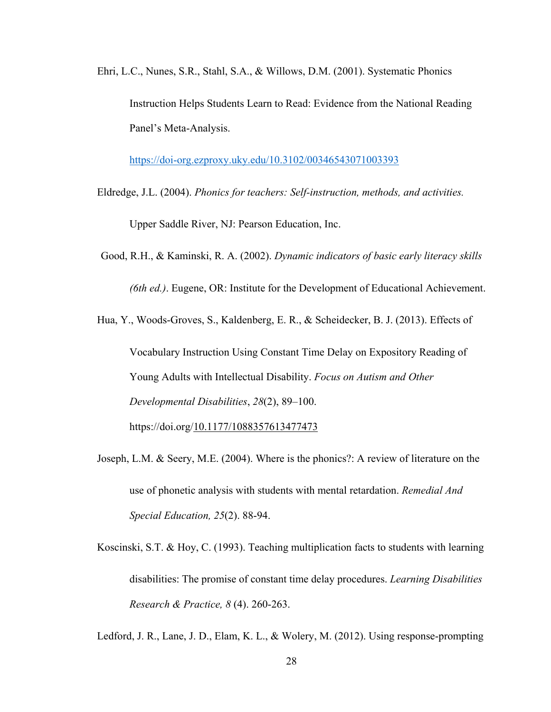Ehri, L.C., Nunes, S.R., Stahl, S.A., & Willows, D.M. (2001). Systematic Phonics Instruction Helps Students Learn to Read: Evidence from the National Reading Panel's Meta-Analysis.

<https://doi-org.ezproxy.uky.edu/10.3102/00346543071003393>

- Eldredge, J.L. (2004). *Phonics for teachers: Self-instruction, methods, and activities.*  Upper Saddle River, NJ: Pearson Education, Inc.
- Good, R.H., & Kaminski, R. A. (2002). *Dynamic indicators of basic early literacy skills*

*(6th ed.)*. Eugene, OR: Institute for the Development of Educational Achievement.

Hua, Y., Woods-Groves, S., Kaldenberg, E. R., & Scheidecker, B. J. (2013). Effects of

Vocabulary Instruction Using Constant Time Delay on Expository Reading of Young Adults with Intellectual Disability. *Focus on Autism and Other Developmental Disabilities*, *28*(2), 89–100. https://doi.org[/10.1177/1088357613477473](https://doi-org.ezproxy.uky.edu/10.1177/1088357613477473)

- Joseph, L.M. & Seery, M.E. (2004). Where is the phonics?: A review of literature on the use of phonetic analysis with students with mental retardation. *Remedial And Special Education, 25*(2). 88-94.
- Koscinski, S.T. & Hoy, C. (1993). Teaching multiplication facts to students with learning disabilities: The promise of constant time delay procedures. *Learning Disabilities Research & Practice, 8* (4). 260-263.

Ledford, J. R., Lane, J. D., Elam, K. L., & Wolery, M. (2012). Using response-prompting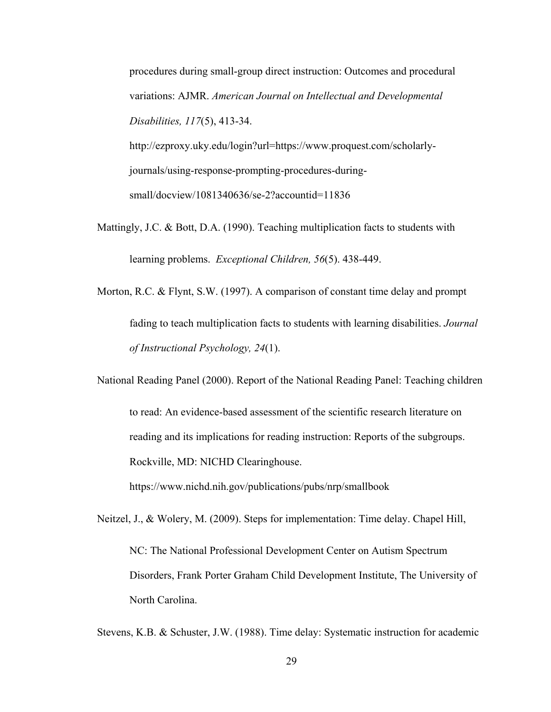procedures during small-group direct instruction: Outcomes and procedural variations: AJMR. *American Journal on Intellectual and Developmental Disabilities, 117*(5), 413-34.

http://ezproxy.uky.edu/login?url=https://www.proquest.com/scholarlyjournals/using-response-prompting-procedures-duringsmall/docview/1081340636/se-2?accountid=11836

Mattingly, J.C. & Bott, D.A. (1990). Teaching multiplication facts to students with learning problems. *Exceptional Children, 56*(5). 438-449.

Morton, R.C. & Flynt, S.W. (1997). A comparison of constant time delay and prompt fading to teach multiplication facts to students with learning disabilities. *Journal of Instructional Psychology, 24*(1).

National Reading Panel (2000). Report of the National Reading Panel: Teaching children to read: An evidence-based assessment of the scientific research literature on reading and its implications for reading instruction: Reports of the subgroups. Rockville, MD: NICHD Clearinghouse.

https://www.nichd.nih.gov/publications/pubs/nrp/smallbook

Neitzel, J., & Wolery, M. (2009). Steps for implementation: Time delay. Chapel Hill,

NC: The National Professional Development Center on Autism Spectrum Disorders, Frank Porter Graham Child Development Institute, The University of North Carolina.

Stevens, K.B. & Schuster, J.W. (1988). Time delay: Systematic instruction for academic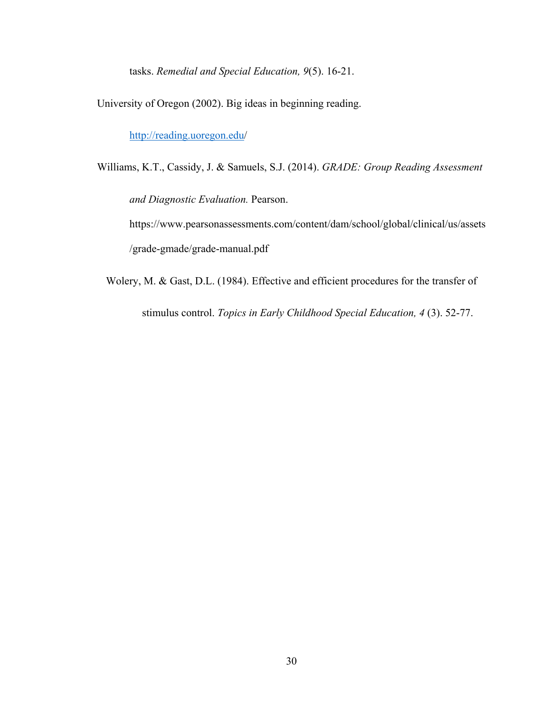tasks. *Remedial and Special Education, 9*(5). 16-21.

University of Oregon (2002). Big ideas in beginning reading.

<http://reading.uoregon.edu/>

Williams, K.T., Cassidy, J. & Samuels, S.J. (2014). *GRADE: Group Reading Assessment* 

*and Diagnostic Evaluation.* Pearson.

https://www.pearsonassessments.com/content/dam/school/global/clinical/us/assets /grade-gmade/grade-manual.pdf

Wolery, M. & Gast, D.L. (1984). Effective and efficient procedures for the transfer of

stimulus control. *Topics in Early Childhood Special Education, 4* (3). 52-77.